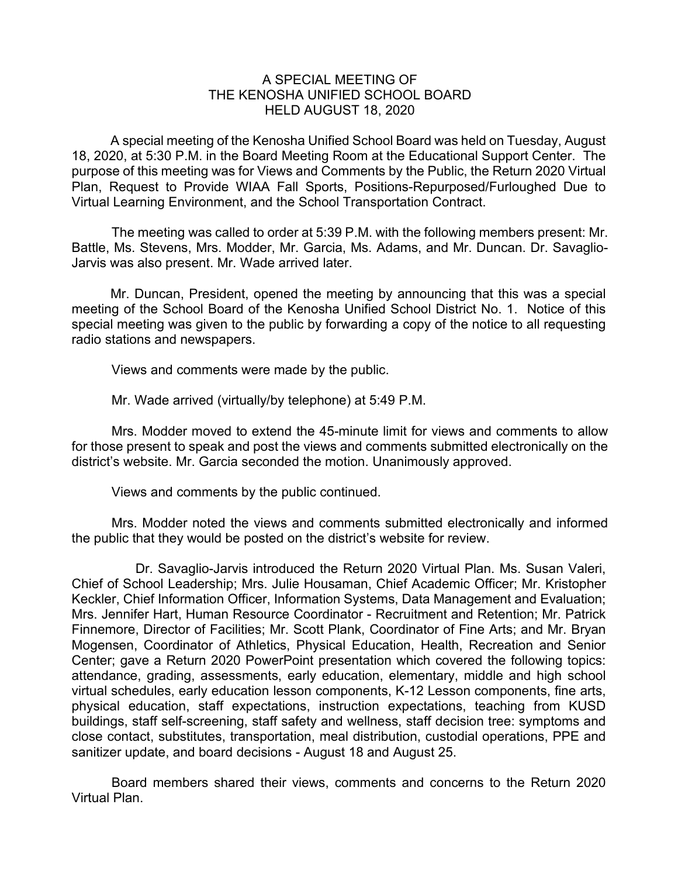## A SPECIAL MEETING OF THE KENOSHA UNIFIED SCHOOL BOARD HELD AUGUST 18, 2020

A special meeting of the Kenosha Unified School Board was held on Tuesday, August 18, 2020, at 5:30 P.M. in the Board Meeting Room at the Educational Support Center. The purpose of this meeting was for Views and Comments by the Public, the Return 2020 Virtual Plan, Request to Provide WIAA Fall Sports, Positions-Repurposed/Furloughed Due to Virtual Learning Environment, and the School Transportation Contract.

The meeting was called to order at 5:39 P.M. with the following members present: Mr. Battle, Ms. Stevens, Mrs. Modder, Mr. Garcia, Ms. Adams, and Mr. Duncan. Dr. Savaglio-Jarvis was also present. Mr. Wade arrived later.

Mr. Duncan, President, opened the meeting by announcing that this was a special meeting of the School Board of the Kenosha Unified School District No. 1. Notice of this special meeting was given to the public by forwarding a copy of the notice to all requesting radio stations and newspapers.

Views and comments were made by the public.

Mr. Wade arrived (virtually/by telephone) at 5:49 P.M.

Mrs. Modder moved to extend the 45-minute limit for views and comments to allow for those present to speak and post the views and comments submitted electronically on the district's website. Mr. Garcia seconded the motion. Unanimously approved.

Views and comments by the public continued.

Mrs. Modder noted the views and comments submitted electronically and informed the public that they would be posted on the district's website for review.

Dr. Savaglio-Jarvis introduced the Return 2020 Virtual Plan. Ms. Susan Valeri, Chief of School Leadership; Mrs. Julie Housaman, Chief Academic Officer; Mr. Kristopher Keckler, Chief Information Officer, Information Systems, Data Management and Evaluation; Mrs. Jennifer Hart, Human Resource Coordinator - Recruitment and Retention; Mr. Patrick Finnemore, Director of Facilities; Mr. Scott Plank, Coordinator of Fine Arts; and Mr. Bryan Mogensen, Coordinator of Athletics, Physical Education, Health, Recreation and Senior Center; gave a Return 2020 PowerPoint presentation which covered the following topics: attendance, grading, assessments, early education, elementary, middle and high school virtual schedules, early education lesson components, K-12 Lesson components, fine arts, physical education, staff expectations, instruction expectations, teaching from KUSD buildings, staff self-screening, staff safety and wellness, staff decision tree: symptoms and close contact, substitutes, transportation, meal distribution, custodial operations, PPE and sanitizer update, and board decisions - August 18 and August 25.

Board members shared their views, comments and concerns to the Return 2020 Virtual Plan.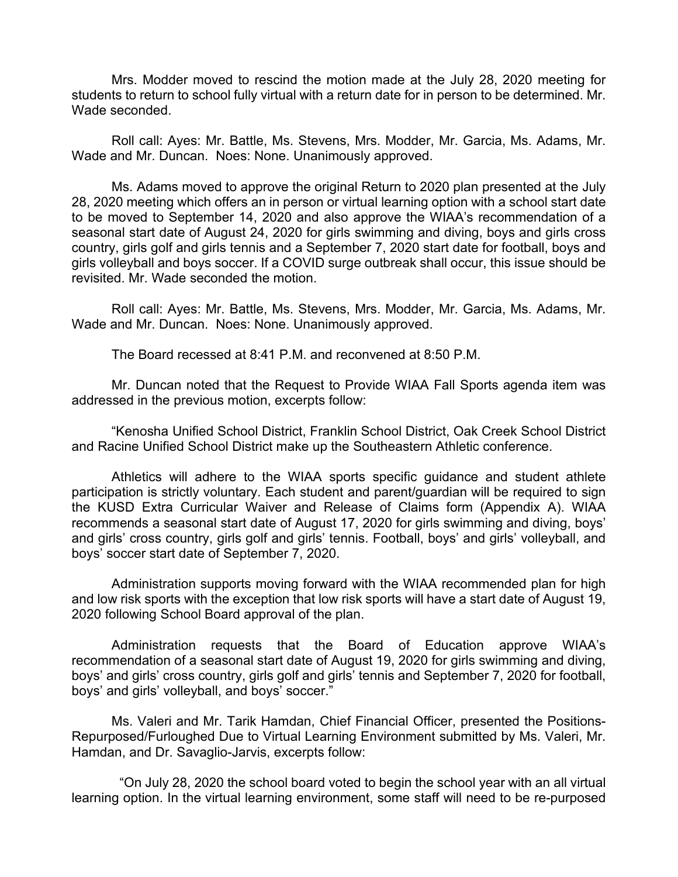Mrs. Modder moved to rescind the motion made at the July 28, 2020 meeting for students to return to school fully virtual with a return date for in person to be determined. Mr. Wade seconded.

Roll call: Ayes: Mr. Battle, Ms. Stevens, Mrs. Modder, Mr. Garcia, Ms. Adams, Mr. Wade and Mr. Duncan. Noes: None. Unanimously approved.

Ms. Adams moved to approve the original Return to 2020 plan presented at the July 28, 2020 meeting which offers an in person or virtual learning option with a school start date to be moved to September 14, 2020 and also approve the WIAA's recommendation of a seasonal start date of August 24, 2020 for girls swimming and diving, boys and girls cross country, girls golf and girls tennis and a September 7, 2020 start date for football, boys and girls volleyball and boys soccer. If a COVID surge outbreak shall occur, this issue should be revisited. Mr. Wade seconded the motion.

Roll call: Ayes: Mr. Battle, Ms. Stevens, Mrs. Modder, Mr. Garcia, Ms. Adams, Mr. Wade and Mr. Duncan. Noes: None. Unanimously approved.

The Board recessed at 8:41 P.M. and reconvened at 8:50 P.M.

Mr. Duncan noted that the Request to Provide WIAA Fall Sports agenda item was addressed in the previous motion, excerpts follow:

"Kenosha Unified School District, Franklin School District, Oak Creek School District and Racine Unified School District make up the Southeastern Athletic conference.

Athletics will adhere to the WIAA sports specific guidance and student athlete participation is strictly voluntary. Each student and parent/guardian will be required to sign the KUSD Extra Curricular Waiver and Release of Claims form (Appendix A). WIAA recommends a seasonal start date of August 17, 2020 for girls swimming and diving, boys' and girls' cross country, girls golf and girls' tennis. Football, boys' and girls' volleyball, and boys' soccer start date of September 7, 2020.

Administration supports moving forward with the WIAA recommended plan for high and low risk sports with the exception that low risk sports will have a start date of August 19, 2020 following School Board approval of the plan.

Administration requests that the Board of Education approve WIAA's recommendation of a seasonal start date of August 19, 2020 for girls swimming and diving, boys' and girls' cross country, girls golf and girls' tennis and September 7, 2020 for football, boys' and girls' volleyball, and boys' soccer."

Ms. Valeri and Mr. Tarik Hamdan, Chief Financial Officer, presented the Positions-Repurposed/Furloughed Due to Virtual Learning Environment submitted by Ms. Valeri, Mr. Hamdan, and Dr. Savaglio-Jarvis, excerpts follow:

"On July 28, 2020 the school board voted to begin the school year with an all virtual learning option. In the virtual learning environment, some staff will need to be re-purposed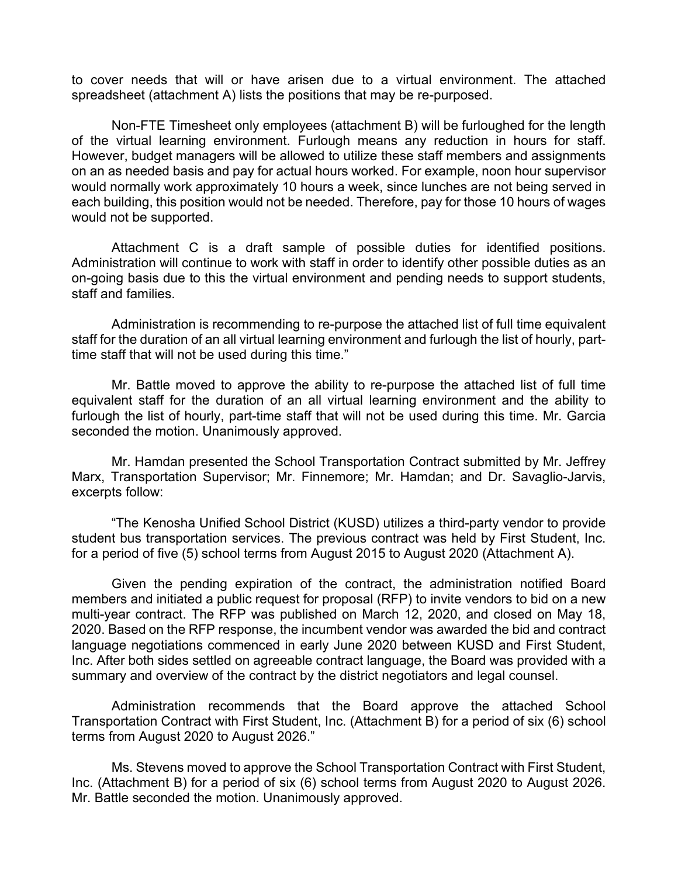to cover needs that will or have arisen due to a virtual environment. The attached spreadsheet (attachment A) lists the positions that may be re-purposed.

Non-FTE Timesheet only employees (attachment B) will be furloughed for the length of the virtual learning environment. Furlough means any reduction in hours for staff. However, budget managers will be allowed to utilize these staff members and assignments on an as needed basis and pay for actual hours worked. For example, noon hour supervisor would normally work approximately 10 hours a week, since lunches are not being served in each building, this position would not be needed. Therefore, pay for those 10 hours of wages would not be supported.

Attachment C is a draft sample of possible duties for identified positions. Administration will continue to work with staff in order to identify other possible duties as an on-going basis due to this the virtual environment and pending needs to support students, staff and families.

Administration is recommending to re-purpose the attached list of full time equivalent staff for the duration of an all virtual learning environment and furlough the list of hourly, parttime staff that will not be used during this time."

Mr. Battle moved to approve the ability to re-purpose the attached list of full time equivalent staff for the duration of an all virtual learning environment and the ability to furlough the list of hourly, part-time staff that will not be used during this time. Mr. Garcia seconded the motion. Unanimously approved.

Mr. Hamdan presented the School Transportation Contract submitted by Mr. Jeffrey Marx, Transportation Supervisor; Mr. Finnemore; Mr. Hamdan; and Dr. Savaglio-Jarvis, excerpts follow:

"The Kenosha Unified School District (KUSD) utilizes a third-party vendor to provide student bus transportation services. The previous contract was held by First Student, Inc. for a period of five (5) school terms from August 2015 to August 2020 (Attachment A).

Given the pending expiration of the contract, the administration notified Board members and initiated a public request for proposal (RFP) to invite vendors to bid on a new multi-year contract. The RFP was published on March 12, 2020, and closed on May 18, 2020. Based on the RFP response, the incumbent vendor was awarded the bid and contract language negotiations commenced in early June 2020 between KUSD and First Student, Inc. After both sides settled on agreeable contract language, the Board was provided with a summary and overview of the contract by the district negotiators and legal counsel.

Administration recommends that the Board approve the attached School Transportation Contract with First Student, Inc. (Attachment B) for a period of six (6) school terms from August 2020 to August 2026."

Ms. Stevens moved to approve the School Transportation Contract with First Student, Inc. (Attachment B) for a period of six (6) school terms from August 2020 to August 2026. Mr. Battle seconded the motion. Unanimously approved.